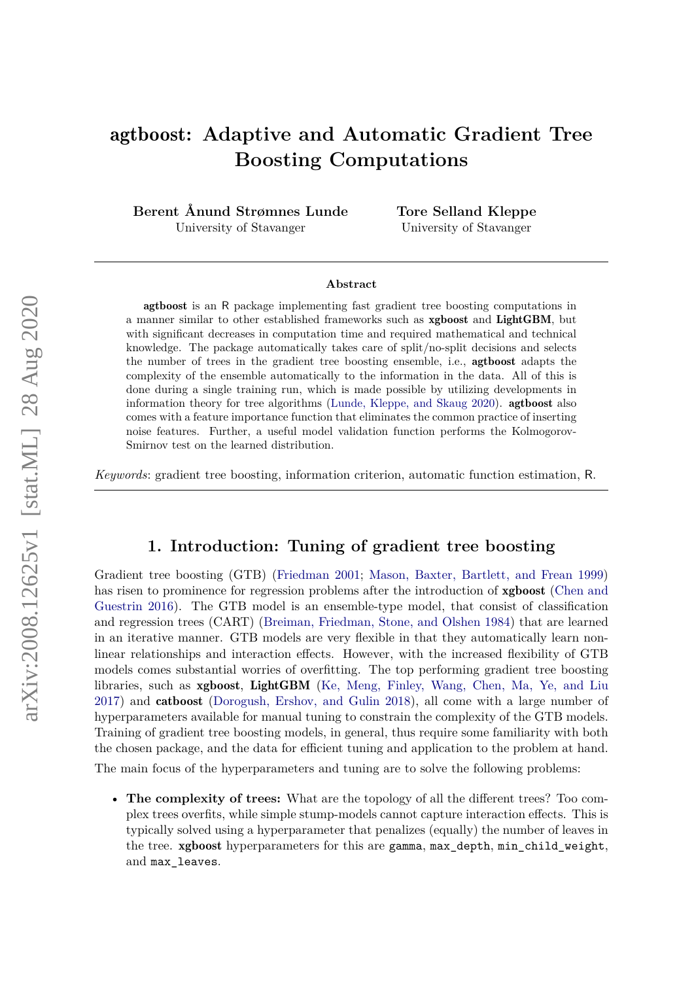# <span id="page-0-0"></span>agtboost**: Adaptive and Automatic Gradient Tree Boosting Computations**

**Berent Ånund Strømnes Lunde** University of Stavanger

**Tore Selland Kleppe** University of Stavanger

#### **Abstract**

agtboost is an R package implementing fast gradient tree boosting computations in a manner similar to other established frameworks such as xgboost and LightGBM, but with significant decreases in computation time and required mathematical and technical knowledge. The package automatically takes care of split/no-split decisions and selects the number of trees in the gradient tree boosting ensemble, i.e., agtboost adapts the complexity of the ensemble automatically to the information in the data. All of this is done during a single training run, which is made possible by utilizing developments in information theory for tree algorithms [\(Lunde, Kleppe, and Skaug](#page-14-0) [2020\)](#page-14-0). agtboost also comes with a feature importance function that eliminates the common practice of inserting noise features. Further, a useful model validation function performs the Kolmogorov-Smirnov test on the learned distribution.

*Keywords*: gradient tree boosting, information criterion, automatic function estimation, R.

## **1. Introduction: Tuning of gradient tree boosting**

Gradient tree boosting (GTB) [\(Friedman](#page-14-1) [2001;](#page-14-1) [Mason, Baxter, Bartlett, and Frean](#page-14-2) [1999\)](#page-14-2) has risen to prominence for regression problems after the introduction of **xgboost** [\(Chen and](#page-13-0) [Guestrin](#page-13-0) [2016\)](#page-13-0). The GTB model is an ensemble-type model, that consist of classification and regression trees (CART) [\(Breiman, Friedman, Stone, and Olshen](#page-13-1) [1984\)](#page-13-1) that are learned in an iterative manner. GTB models are very flexible in that they automatically learn nonlinear relationships and interaction effects. However, with the increased flexibility of GTB models comes substantial worries of overfitting. The top performing gradient tree boosting libraries, such as xgboost, LightGBM [\(Ke, Meng, Finley, Wang, Chen, Ma, Ye, and Liu](#page-14-3) [2017\)](#page-14-3) and catboost [\(Dorogush, Ershov, and Gulin](#page-13-2) [2018\)](#page-13-2), all come with a large number of hyperparameters available for manual tuning to constrain the complexity of the GTB models. Training of gradient tree boosting models, in general, thus require some familiarity with both the chosen package, and the data for efficient tuning and application to the problem at hand. The main focus of the hyperparameters and tuning are to solve the following problems:

• **The complexity of trees:** What are the topology of all the different trees? Too complex trees overfits, while simple stump-models cannot capture interaction effects. This is typically solved using a hyperparameter that penalizes (equally) the number of leaves in the tree. xgboost hyperparameters for this are gamma, max\_depth, min\_child\_weight, and max\_leaves.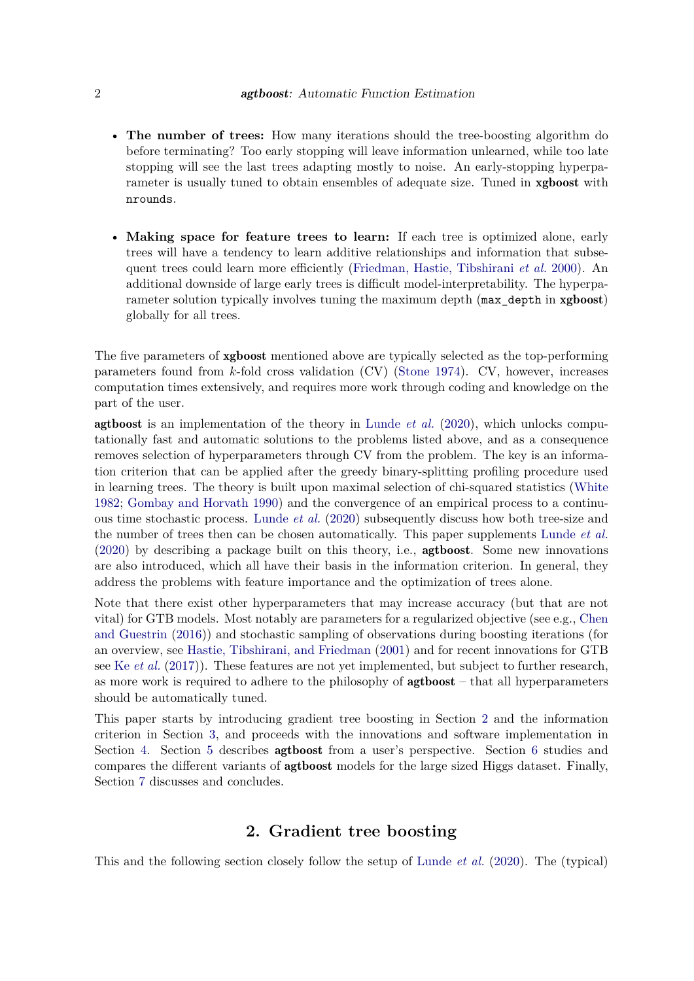- **The number of trees:** How many iterations should the tree-boosting algorithm do before terminating? Too early stopping will leave information unlearned, while too late stopping will see the last trees adapting mostly to noise. An early-stopping hyperparameter is usually tuned to obtain ensembles of adequate size. Tuned in xgboost with nrounds.
- **Making space for feature trees to learn:** If each tree is optimized alone, early trees will have a tendency to learn additive relationships and information that subsequent trees could learn more efficiently [\(Friedman, Hastie, Tibshirani](#page-13-3) *et al.* [2000\)](#page-13-3). An additional downside of large early trees is difficult model-interpretability. The hyperparameter solution typically involves tuning the maximum depth (max\_depth in xgboost) globally for all trees.

The five parameters of xgboost mentioned above are typically selected as the top-performing parameters found from *k*-fold cross validation (CV) [\(Stone](#page-14-4) [1974\)](#page-14-4). CV, however, increases computation times extensively, and requires more work through coding and knowledge on the part of the user.

agtboost is an implementation of the theory in [Lunde](#page-14-0) *et al.* [\(2020\)](#page-14-0), which unlocks computationally fast and automatic solutions to the problems listed above, and as a consequence removes selection of hyperparameters through CV from the problem. The key is an information criterion that can be applied after the greedy binary-splitting profiling procedure used in learning trees. The theory is built upon maximal selection of chi-squared statistics [\(White](#page-14-5) [1982;](#page-14-5) [Gombay and Horvath](#page-14-6) [1990\)](#page-14-6) and the convergence of an empirical process to a continuous time stochastic process. [Lunde](#page-14-0) *et al.* [\(2020\)](#page-14-0) subsequently discuss how both tree-size and the number of trees then can be chosen automatically. This paper supplements [Lunde](#page-14-0) *et al.* [\(2020\)](#page-14-0) by describing a package built on this theory, i.e., agtboost. Some new innovations are also introduced, which all have their basis in the information criterion. In general, they address the problems with feature importance and the optimization of trees alone.

Note that there exist other hyperparameters that may increase accuracy (but that are not vital) for GTB models. Most notably are parameters for a regularized objective (see e.g., [Chen](#page-13-0) [and Guestrin](#page-13-0) [\(2016\)](#page-13-0)) and stochastic sampling of observations during boosting iterations (for an overview, see [Hastie, Tibshirani, and Friedman](#page-14-7) [\(2001\)](#page-14-7) and for recent innovations for GTB see Ke *[et al.](#page-14-3)* [\(2017\)](#page-14-3)). These features are not yet implemented, but subject to further research, as more work is required to adhere to the philosophy of agtboost – that all hyperparameters should be automatically tuned.

This paper starts by introducing gradient tree boosting in Section [2](#page-1-0) and the information criterion in Section [3,](#page-3-0) and proceeds with the innovations and software implementation in Section [4.](#page-4-0) Section [5](#page-8-0) describes agtboost from a user's perspective. Section [6](#page-11-0) studies and compares the different variants of agtboost models for the large sized Higgs dataset. Finally, Section [7](#page-13-4) discusses and concludes.

## **2. Gradient tree boosting**

<span id="page-1-0"></span>This and the following section closely follow the setup of [Lunde](#page-14-0) *et al.* [\(2020\)](#page-14-0). The (typical)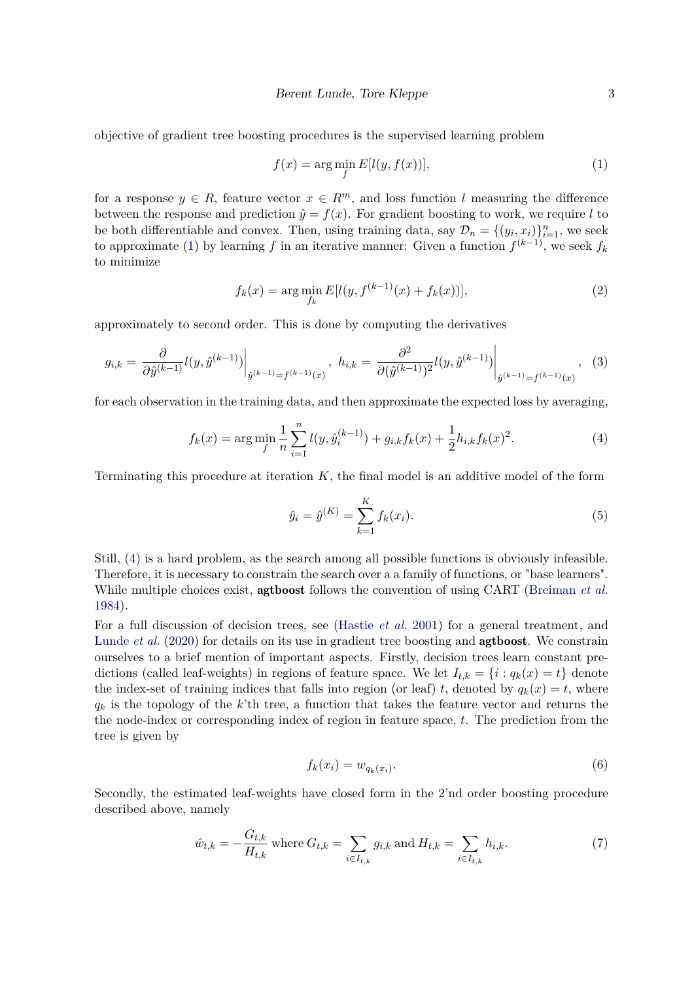objective of gradient tree boosting procedures is the supervised learning problem

<span id="page-2-0"></span>
$$
f(x) = \arg\min_{f} E[l(y, f(x))],
$$
\n(1)

for a response  $y \in R$ , feature vector  $x \in R^m$ , and loss function *l* measuring the difference between the response and prediction  $\hat{y} = f(x)$ . For gradient boosting to work, we require *l* to be both differentiable and convex. Then, using training data, say  $\mathcal{D}_n = \{(y_i, x_i)\}_{i=1}^n$ , we seek to approximate [\(1\)](#page-2-0) by learning *f* in an iterative manner: Given a function  $f^{(k-1)}$ , we seek  $f_k$ to minimize

$$
f_k(x) = \arg\min_{f_k} E[l(y, f^{(k-1)}(x) + f_k(x))],
$$
\n(2)

approximately to second order. This is done by computing the derivatives

$$
g_{i,k} = \left. \frac{\partial}{\partial \hat{y}^{(k-1)}} l(y, \hat{y}^{(k-1)}) \right|_{\hat{y}^{(k-1)} = f^{(k-1)}(x)}, \ h_{i,k} = \left. \frac{\partial^2}{\partial (\hat{y}^{(k-1)})^2} l(y, \hat{y}^{(k-1)}) \right|_{\hat{y}^{(k-1)} = f^{(k-1)}(x)}, \tag{3}
$$

for each observation in the training data, and then approximate the expected loss by averaging,

$$
f_k(x) = \arg\min_{f} \frac{1}{n} \sum_{i=1}^n l(y, \hat{y}_i^{(k-1)}) + g_{i,k} f_k(x) + \frac{1}{2} h_{i,k} f_k(x)^2.
$$
 (4)

Terminating this procedure at iteration *K*, the final model is an additive model of the form

<span id="page-2-1"></span>
$$
\hat{y}_i = \hat{y}^{(K)} = \sum_{k=1}^{K} f_k(x_i).
$$
\n(5)

Still, [\(4\)](#page-2-1) is a hard problem, as the search among all possible functions is obviously infeasible. Therefore, it is necessary to constrain the search over a a family of functions, or "base learners". While multiple choices exist, agtboost follows the convention of using CART [\(Breiman](#page-13-1) *et al.* [1984\)](#page-13-1).

For a full discussion of decision trees, see [\(Hastie](#page-14-7) *et al.* [2001\)](#page-14-7) for a general treatment, and [Lunde](#page-14-0) *et al.* [\(2020\)](#page-14-0) for details on its use in gradient tree boosting and agtboost. We constrain ourselves to a brief mention of important aspects. Firstly, decision trees learn constant predictions (called leaf-weights) in regions of feature space. We let  $I_{t,k} = \{i : q_k(x) = t\}$  denote the index-set of training indices that falls into region (or leaf) *t*, denoted by  $q_k(x) = t$ , where *q<sup>k</sup>* is the topology of the *k*'th tree, a function that takes the feature vector and returns the the node-index or corresponding index of region in feature space, *t*. The prediction from the tree is given by

$$
f_k(x_i) = w_{q_k(x_i)}.\tag{6}
$$

Secondly, the estimated leaf-weights have closed form in the 2'nd order boosting procedure described above, namely

$$
\hat{w}_{t,k} = -\frac{G_{t,k}}{H_{t,k}} \text{ where } G_{t,k} = \sum_{i \in I_{t,k}} g_{i,k} \text{ and } H_{t,k} = \sum_{i \in I_{t,k}} h_{i,k}.
$$
 (7)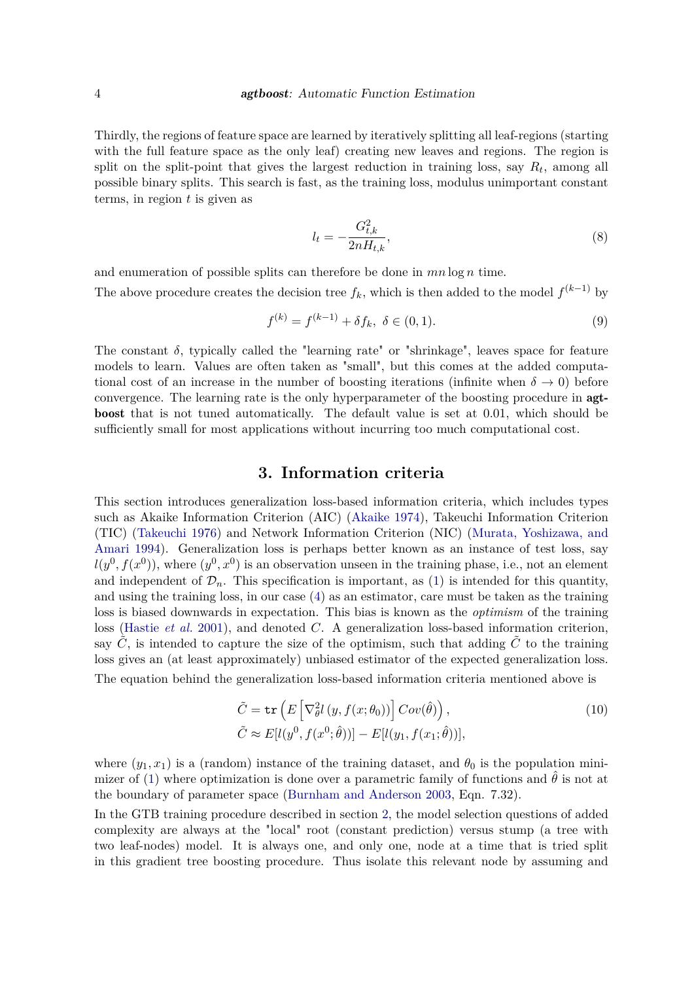Thirdly, the regions of feature space are learned by iteratively splitting all leaf-regions (starting with the full feature space as the only leaf) creating new leaves and regions. The region is split on the split-point that gives the largest reduction in training loss, say  $R_t$ , among all possible binary splits. This search is fast, as the training loss, modulus unimportant constant terms, in region *t* is given as

$$
l_t = -\frac{G_{t,k}^2}{2nH_{t,k}},\tag{8}
$$

and enumeration of possible splits can therefore be done in *mn* log *n* time. The above procedure creates the decision tree  $f_k$ , which is then added to the model  $f^{(k-1)}$  by

$$
f^{(k)} = f^{(k-1)} + \delta f_k, \ \delta \in (0,1). \tag{9}
$$

The constant  $\delta$ , typically called the "learning rate" or "shrinkage", leaves space for feature models to learn. Values are often taken as "small", but this comes at the added computational cost of an increase in the number of boosting iterations (infinite when  $\delta \to 0$ ) before convergence. The learning rate is the only hyperparameter of the boosting procedure in agtboost that is not tuned automatically. The default value is set at 0*.*01, which should be sufficiently small for most applications without incurring too much computational cost.

## **3. Information criteria**

<span id="page-3-0"></span>This section introduces generalization loss-based information criteria, which includes types such as Akaike Information Criterion (AIC) [\(Akaike](#page-13-5) [1974\)](#page-13-5), Takeuchi Information Criterion (TIC) [\(Takeuchi](#page-14-8) [1976\)](#page-14-8) and Network Information Criterion (NIC) [\(Murata, Yoshizawa, and](#page-14-9) [Amari](#page-14-9) [1994\)](#page-14-9). Generalization loss is perhaps better known as an instance of test loss, say  $l(y^0, f(x^0))$ , where  $(y^0, x^0)$  is an observation unseen in the training phase, i.e., not an element and independent of  $\mathcal{D}_n$ . This specification is important, as [\(1\)](#page-2-0) is intended for this quantity, and using the training loss, in our case [\(4\)](#page-2-1) as an estimator, care must be taken as the training loss is biased downwards in expectation. This bias is known as the *optimism* of the training loss [\(Hastie](#page-14-7) *et al.* [2001\)](#page-14-7), and denoted *C*. A generalization loss-based information criterion, say  $C$ , is intended to capture the size of the optimism, such that adding  $\tilde{C}$  to the training loss gives an (at least approximately) unbiased estimator of the expected generalization loss. The equation behind the generalization loss-based information criteria mentioned above is

<span id="page-3-1"></span>
$$
\tilde{C} = \text{tr}\left(E\left[\nabla_{\theta}^{2}l\left(y, f(x; \theta_{0})\right)\right]Cov(\hat{\theta})\right),\n\tilde{C} \approx E[l(y^{0}, f(x^{0}; \hat{\theta}))] - E[l(y_{1}, f(x_{1}; \hat{\theta}))],
$$
\n(10)

where  $(y_1, x_1)$  is a (random) instance of the training dataset, and  $\theta_0$  is the population mini-mizer of [\(1\)](#page-2-0) where optimization is done over a parametric family of functions and  $\hat{\theta}$  is not at the boundary of parameter space [\(Burnham and Anderson](#page-13-6) [2003,](#page-13-6) Eqn. 7.32).

In the GTB training procedure described in section [2,](#page-1-0) the model selection questions of added complexity are always at the "local" root (constant prediction) versus stump (a tree with two leaf-nodes) model. It is always one, and only one, node at a time that is tried split in this gradient tree boosting procedure. Thus isolate this relevant node by assuming and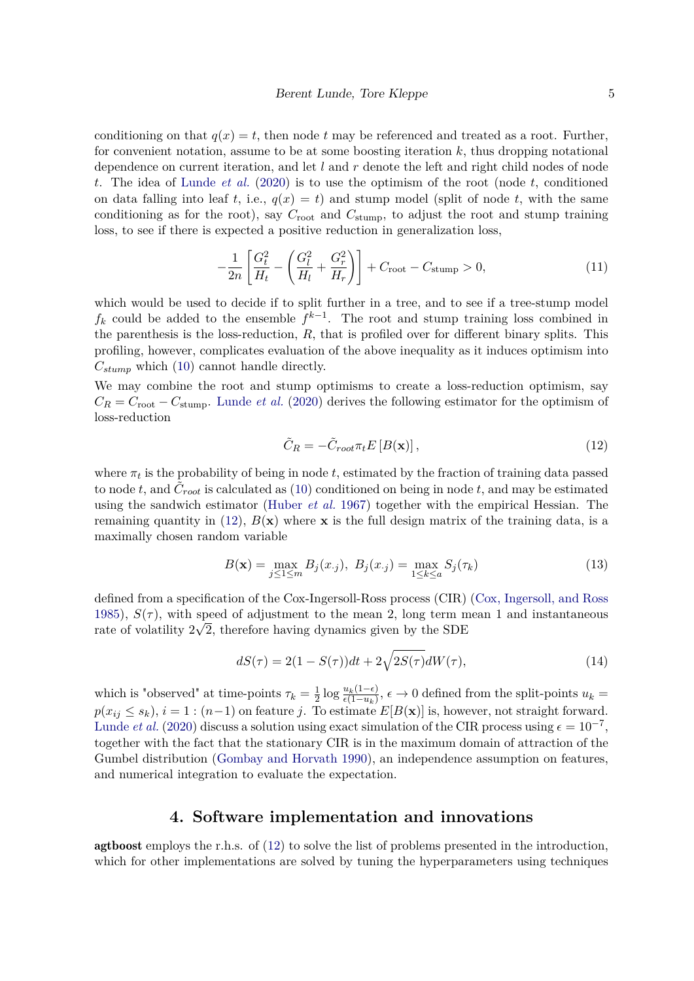conditioning on that  $q(x) = t$ , then node *t* may be referenced and treated as a root. Further, for convenient notation, assume to be at some boosting iteration *k*, thus dropping notational dependence on current iteration, and let *l* and *r* denote the left and right child nodes of node *t*. The idea of [Lunde](#page-14-0) *et al.* [\(2020\)](#page-14-0) is to use the optimism of the root (node *t*, conditioned on data falling into leaf *t*, i.e.,  $q(x) = t$ ) and stump model (split of node *t*, with the same conditioning as for the root), say  $C_{\text{root}}$  and  $C_{\text{stump}}$ , to adjust the root and stump training loss, to see if there is expected a positive reduction in generalization loss,

$$
-\frac{1}{2n} \left[ \frac{G_t^2}{H_t} - \left( \frac{G_l^2}{H_l} + \frac{G_r^2}{H_r} \right) \right] + C_{\text{root}} - C_{\text{stump}} > 0, \tag{11}
$$

which would be used to decide if to split further in a tree, and to see if a tree-stump model  $f_k$  could be added to the ensemble  $f^{k-1}$ . The root and stump training loss combined in the parenthesis is the loss-reduction, *R*, that is profiled over for different binary splits. This profiling, however, complicates evaluation of the above inequality as it induces optimism into *Cstump* which [\(10\)](#page-3-1) cannot handle directly.

We may combine the root and stump optimisms to create a loss-reduction optimism, say  $C_R = C_{\text{root}} - C_{\text{stump}}$ . [Lunde](#page-14-0) *et al.* [\(2020\)](#page-14-0) derives the following estimator for the optimism of loss-reduction

<span id="page-4-1"></span>
$$
\tilde{C}_R = -\tilde{C}_{root} \pi_t E\left[B(\mathbf{x})\right],\tag{12}
$$

where  $\pi_t$  is the probability of being in node  $t$ , estimated by the fraction of training data passed to node *t*, and  $\tilde{C}_{root}$  is calculated as [\(10\)](#page-3-1) conditioned on being in node *t*, and may be estimated using the sandwich estimator [\(Huber](#page-14-10) *et al.* [1967\)](#page-14-10) together with the empirical Hessian. The remaining quantity in [\(12\)](#page-4-1),  $B(x)$  where **x** is the full design matrix of the training data, is a maximally chosen random variable

$$
B(\mathbf{x}) = \max_{j \le 1 \le m} B_j(x_{\cdot j}), \ B_j(x_{\cdot j}) = \max_{1 \le k \le a} S_j(\tau_k)
$$
(13)

defined from a specification of the Cox-Ingersoll-Ross process (CIR) [\(Cox, Ingersoll, and Ross](#page-13-7) [1985\)](#page-13-7),  $S(\tau)$ , with speed of adjustment to the mean 2, long term mean 1 and instantaneous rate of volatility  $2\sqrt{2}$ , therefore having dynamics given by the SDE

$$
dS(\tau) = 2(1 - S(\tau))dt + 2\sqrt{2S(\tau)}dW(\tau),
$$
\n(14)

which is "observed" at time-points  $\tau_k = \frac{1}{2}$  $\frac{1}{2}$ log  $\frac{u_k(1-\epsilon)}{\epsilon(1-u_k)}$ ,  $\epsilon$  → 0 defined from the split-points  $u_k$  =  $p(x_{ij} \leq s_k)$ ,  $i = 1$ :  $(n-1)$  on feature *j*. To estimate  $E[B(\mathbf{x})]$  is, however, not straight forward. [Lunde](#page-14-0) *et al.* [\(2020\)](#page-14-0) discuss a solution using exact simulation of the CIR process using  $\epsilon = 10^{-7}$ , together with the fact that the stationary CIR is in the maximum domain of attraction of the Gumbel distribution [\(Gombay and Horvath](#page-14-6) [1990\)](#page-14-6), an independence assumption on features, and numerical integration to evaluate the expectation.

### **4. Software implementation and innovations**

<span id="page-4-0"></span>agtboost employs the r.h.s. of [\(12\)](#page-4-1) to solve the list of problems presented in the introduction, which for other implementations are solved by tuning the hyperparameters using techniques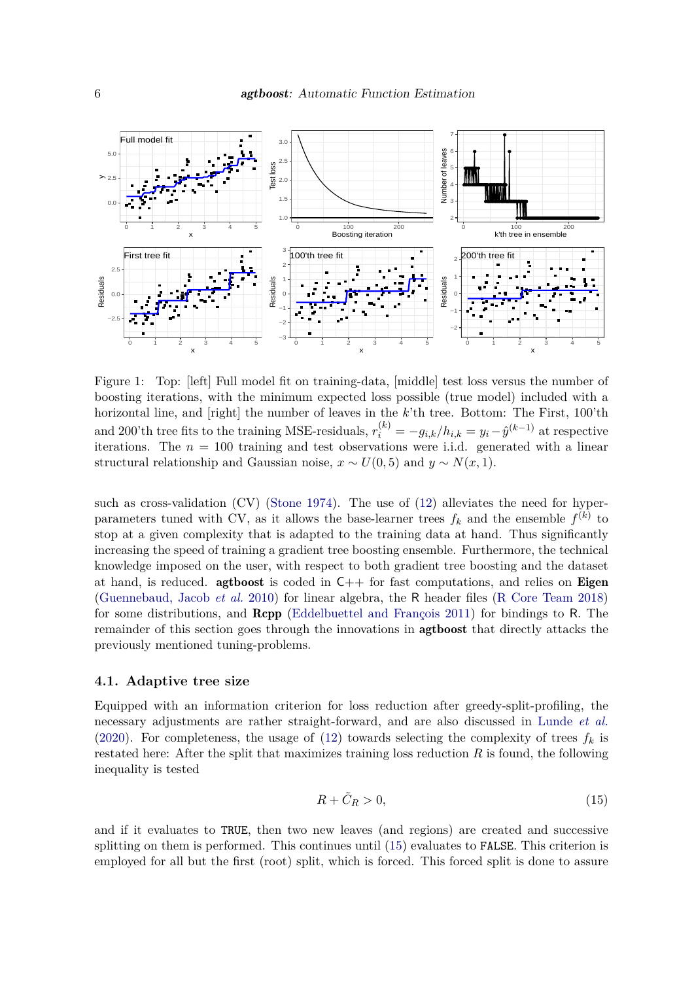

<span id="page-5-1"></span>Figure 1: Top: [left] Full model fit on training-data, [middle] test loss versus the number of boosting iterations, with the minimum expected loss possible (true model) included with a horizontal line, and [right] the number of leaves in the *k*'th tree. Bottom: The First, 100'th and 200'th tree fits to the training MSE-residuals,  $r_i^{(k)} = -g_{i,k}/h_{i,k} = y_i - \hat{y}^{(k-1)}$  at respective iterations. The  $n = 100$  training and test observations were i.i.d. generated with a linear structural relationship and Gaussian noise,  $x \sim U(0, 5)$  and  $y \sim N(x, 1)$ .

such as cross-validation (CV) [\(Stone](#page-14-4) [1974\)](#page-14-4). The use of [\(12\)](#page-4-1) alleviates the need for hyperparameters tuned with CV, as it allows the base-learner trees  $f_k$  and the ensemble  $f^{(k)}$  to stop at a given complexity that is adapted to the training data at hand. Thus significantly increasing the speed of training a gradient tree boosting ensemble. Furthermore, the technical knowledge imposed on the user, with respect to both gradient tree boosting and the dataset at hand, is reduced. **agtboost** is coded in  $C++$  for fast computations, and relies on **Eigen** [\(Guennebaud, Jacob](#page-14-11) *et al.* [2010\)](#page-14-11) for linear algebra, the R header files [\(R Core Team](#page-14-12) [2018\)](#page-14-12) for some distributions, and Rcpp [\(Eddelbuettel and François](#page-13-8) [2011\)](#page-13-8) for bindings to R. The remainder of this section goes through the innovations in agtboost that directly attacks the previously mentioned tuning-problems.

#### <span id="page-5-2"></span>**4.1. Adaptive tree size**

Equipped with an information criterion for loss reduction after greedy-split-profiling, the necessary adjustments are rather straight-forward, and are also discussed in [Lunde](#page-14-0) *et al.* [\(2020\)](#page-14-0). For completeness, the usage of [\(12\)](#page-4-1) towards selecting the complexity of trees  $f_k$  is restated here: After the split that maximizes training loss reduction *R* is found, the following inequality is tested

<span id="page-5-0"></span>
$$
R + \tilde{C}_R > 0,\t\t(15)
$$

and if it evaluates to TRUE, then two new leaves (and regions) are created and successive splitting on them is performed. This continues until [\(15\)](#page-5-0) evaluates to FALSE. This criterion is employed for all but the first (root) split, which is forced. This forced split is done to assure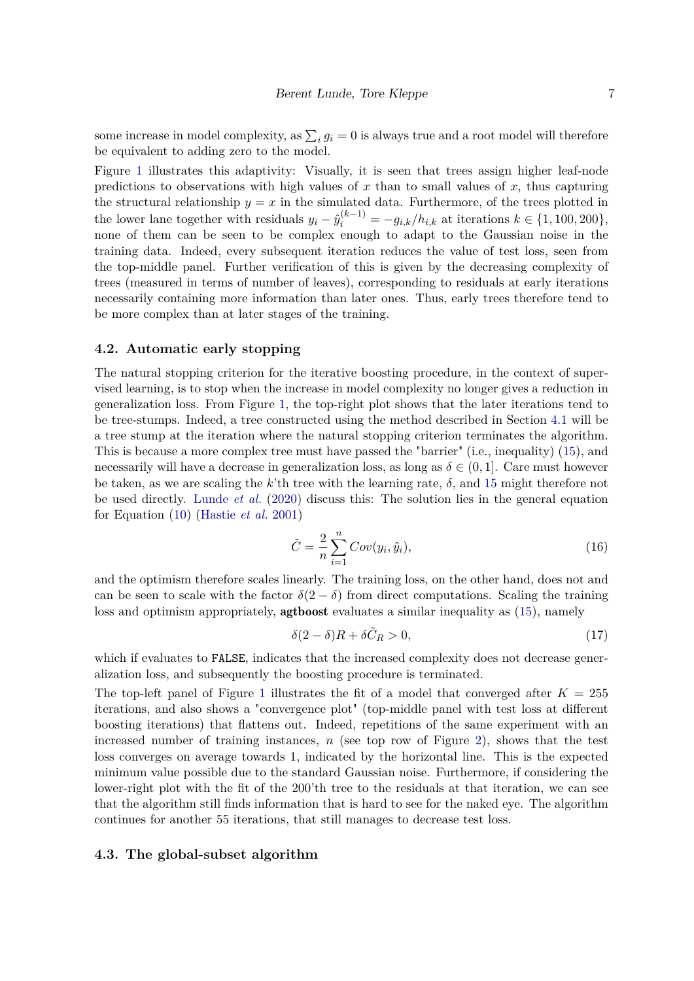some increase in model complexity, as  $\sum_i g_i = 0$  is always true and a root model will therefore be equivalent to adding zero to the model.

Figure [1](#page-5-1) illustrates this adaptivity: Visually, it is seen that trees assign higher leaf-node predictions to observations with high values of  $x$  than to small values of  $x$ , thus capturing the structural relationship  $y = x$  in the simulated data. Furthermore, of the trees plotted in the lower lane together with residuals  $y_i - \hat{y}_i^{(k-1)} = -g_{i,k}/h_{i,k}$  at iterations  $k \in \{1, 100, 200\},$ none of them can be seen to be complex enough to adapt to the Gaussian noise in the training data. Indeed, every subsequent iteration reduces the value of test loss, seen from the top-middle panel. Further verification of this is given by the decreasing complexity of trees (measured in terms of number of leaves), corresponding to residuals at early iterations necessarily containing more information than later ones. Thus, early trees therefore tend to be more complex than at later stages of the training.

#### **4.2. Automatic early stopping**

The natural stopping criterion for the iterative boosting procedure, in the context of supervised learning, is to stop when the increase in model complexity no longer gives a reduction in generalization loss. From Figure [1,](#page-5-1) the top-right plot shows that the later iterations tend to be tree-stumps. Indeed, a tree constructed using the method described in Section [4.1](#page-5-2) will be a tree stump at the iteration where the natural stopping criterion terminates the algorithm. This is because a more complex tree must have passed the "barrier" (i.e., inequality) [\(15\)](#page-5-0), and necessarily will have a decrease in generalization loss, as long as  $\delta \in (0,1]$ . Care must however be taken, as we are scaling the *k*'th tree with the learning rate,  $\delta$ , and [15](#page-5-0) might therefore not be used directly. [Lunde](#page-14-0) *et al.* [\(2020\)](#page-14-0) discuss this: The solution lies in the general equation for Equation [\(10\)](#page-3-1) [\(Hastie](#page-14-7) *et al.* [2001\)](#page-14-7)

$$
\tilde{C} = \frac{2}{n} \sum_{i=1}^{n} Cov(y_i, \hat{y}_i),\tag{16}
$$

and the optimism therefore scales linearly. The training loss, on the other hand, does not and can be seen to scale with the factor  $\delta(2-\delta)$  from direct computations. Scaling the training loss and optimism appropriately, **agtboost** evaluates a similar inequality as  $(15)$ , namely

<span id="page-6-0"></span>
$$
\delta(2-\delta)R + \delta\tilde{C}_R > 0,\tag{17}
$$

which if evaluates to FALSE, indicates that the increased complexity does not decrease generalization loss, and subsequently the boosting procedure is terminated.

The top-left panel of Figure [1](#page-5-1) illustrates the fit of a model that converged after  $K = 255$ iterations, and also shows a "convergence plot" (top-middle panel with test loss at different boosting iterations) that flattens out. Indeed, repetitions of the same experiment with an increased number of training instances, *n* (see top row of Figure [2\)](#page-7-0), shows that the test loss converges on average towards 1, indicated by the horizontal line. This is the expected minimum value possible due to the standard Gaussian noise. Furthermore, if considering the lower-right plot with the fit of the 200'th tree to the residuals at that iteration, we can see that the algorithm still finds information that is hard to see for the naked eye. The algorithm continues for another 55 iterations, that still manages to decrease test loss.

#### **4.3. The global-subset algorithm**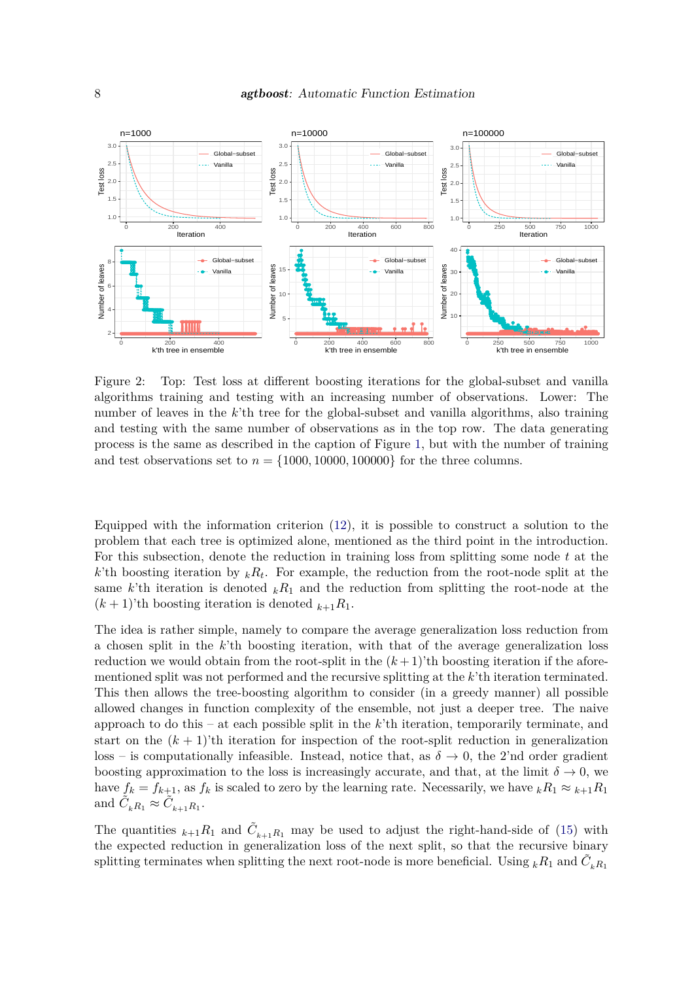

<span id="page-7-0"></span>Figure 2: Top: Test loss at different boosting iterations for the global-subset and vanilla algorithms training and testing with an increasing number of observations. Lower: The number of leaves in the *k*'th tree for the global-subset and vanilla algorithms, also training and testing with the same number of observations as in the top row. The data generating process is the same as described in the caption of Figure [1,](#page-5-1) but with the number of training and test observations set to  $n = \{1000, 10000, 100000\}$  for the three columns.

Equipped with the information criterion [\(12\)](#page-4-1), it is possible to construct a solution to the problem that each tree is optimized alone, mentioned as the third point in the introduction. For this subsection, denote the reduction in training loss from splitting some node *t* at the *k*'th boosting iteration by  $_kR_t$ . For example, the reduction from the root-node split at the same *k*'th iteration is denoted  $kR_1$  and the reduction from splitting the root-node at the  $(k+1)$ 'th boosting iteration is denoted  $k+1$ <sup>k</sup><sub>1</sub>.

The idea is rather simple, namely to compare the average generalization loss reduction from a chosen split in the *k*'th boosting iteration, with that of the average generalization loss reduction we would obtain from the root-split in the  $(k+1)$ 'th boosting iteration if the aforementioned split was not performed and the recursive splitting at the *k*'th iteration terminated. This then allows the tree-boosting algorithm to consider (in a greedy manner) all possible allowed changes in function complexity of the ensemble, not just a deeper tree. The naive approach to do this – at each possible split in the *k*'th iteration, temporarily terminate, and start on the  $(k+1)$ 'th iteration for inspection of the root-split reduction in generalization loss – is computationally infeasible. Instead, notice that, as  $\delta \to 0$ , the 2'nd order gradient boosting approximation to the loss is increasingly accurate, and that, at the limit  $\delta \to 0$ , we have  $f_k = f_{k+1}$ , as  $f_k$  is scaled to zero by the learning rate. Necessarily, we have  $kR_1 \approx k+1R_1$ and  $\tilde{C}_{kR_1} \approx \tilde{C}_{k+1R_1}$ .

The quantities  $_{k+1}R_1$  and  $\tilde{C}_{k+1}R_1$  may be used to adjust the right-hand-side of [\(15\)](#page-5-0) with the expected reduction in generalization loss of the next split, so that the recursive binary splitting terminates when splitting the next root-node is more beneficial. Using  ${}_{k}R_1$  and  $\tilde{C}^{}_{k}R_1$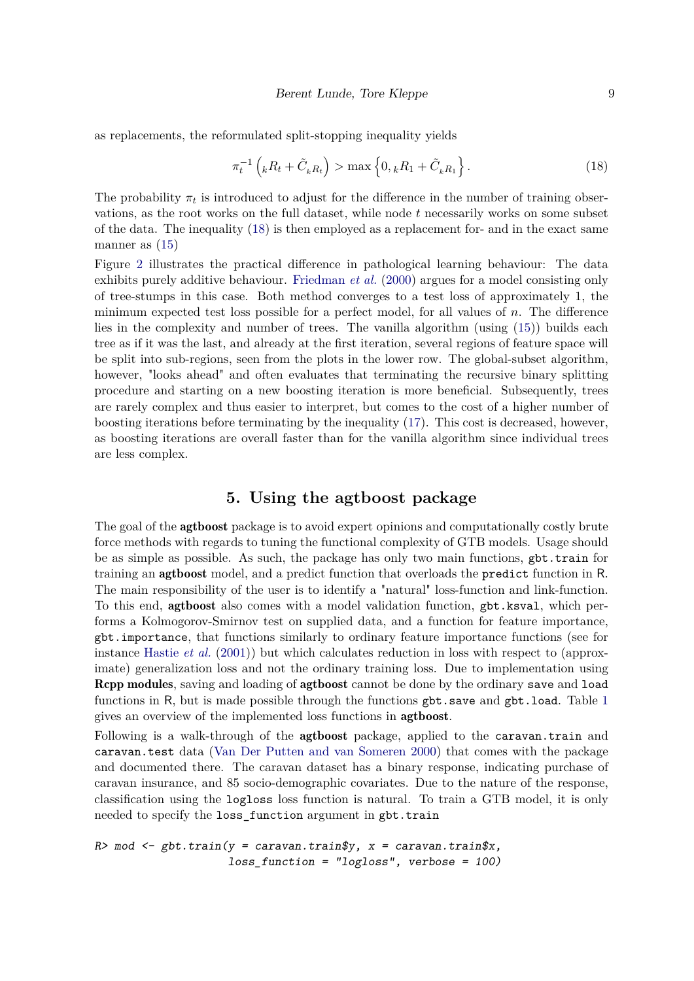as replacements, the reformulated split-stopping inequality yields

<span id="page-8-1"></span>
$$
\pi_t^{-1}\left({}_k R_t + \tilde{C}_k R_t\right) > \max\left\{0, {}_k R_1 + \tilde{C}_k R_1\right\}.
$$
\n(18)

The probability  $\pi_t$  is introduced to adjust for the difference in the number of training observations, as the root works on the full dataset, while node *t* necessarily works on some subset of the data. The inequality [\(18\)](#page-8-1) is then employed as a replacement for- and in the exact same manner as [\(15\)](#page-5-0)

Figure [2](#page-7-0) illustrates the practical difference in pathological learning behaviour: The data exhibits purely additive behaviour. [Friedman](#page-13-3) *et al.* [\(2000\)](#page-13-3) argues for a model consisting only of tree-stumps in this case. Both method converges to a test loss of approximately 1, the minimum expected test loss possible for a perfect model, for all values of *n*. The difference lies in the complexity and number of trees. The vanilla algorithm (using [\(15\)](#page-5-0)) builds each tree as if it was the last, and already at the first iteration, several regions of feature space will be split into sub-regions, seen from the plots in the lower row. The global-subset algorithm, however, "looks ahead" and often evaluates that terminating the recursive binary splitting procedure and starting on a new boosting iteration is more beneficial. Subsequently, trees are rarely complex and thus easier to interpret, but comes to the cost of a higher number of boosting iterations before terminating by the inequality [\(17\)](#page-6-0). This cost is decreased, however, as boosting iterations are overall faster than for the vanilla algorithm since individual trees are less complex.

## **5. Using the agtboost package**

<span id="page-8-0"></span>The goal of the **agtboost** package is to avoid expert opinions and computationally costly brute force methods with regards to tuning the functional complexity of GTB models. Usage should be as simple as possible. As such, the package has only two main functions, gbt.train for training an agtboost model, and a predict function that overloads the predict function in R. The main responsibility of the user is to identify a "natural" loss-function and link-function. To this end, agtboost also comes with a model validation function, gbt.ksval, which performs a Kolmogorov-Smirnov test on supplied data, and a function for feature importance, gbt.importance, that functions similarly to ordinary feature importance functions (see for instance [Hastie](#page-14-7) *et al.* [\(2001\)](#page-14-7)) but which calculates reduction in loss with respect to (approximate) generalization loss and not the ordinary training loss. Due to implementation using Rcpp modules, saving and loading of agtboost cannot be done by the ordinary save and load functions in R, but is made possible through the functions  $gbt \cdot save$  and  $gbt \cdot load$ . Table [1](#page-9-0) gives an overview of the implemented loss functions in agtboost.

Following is a walk-through of the agtboost package, applied to the caravan.train and caravan.test data [\(Van Der Putten and van Someren](#page-14-13) [2000\)](#page-14-13) that comes with the package and documented there. The caravan dataset has a binary response, indicating purchase of caravan insurance, and 85 socio-demographic covariates. Due to the nature of the response, classification using the logloss loss function is natural. To train a GTB model, it is only needed to specify the loss\_function argument in gbt.train

 $R$ > mod  $\leq$  gbt.train(y = caravan.train\$y, x = caravan.train\$x,  $loss_function = "logloss", verbose = 100)$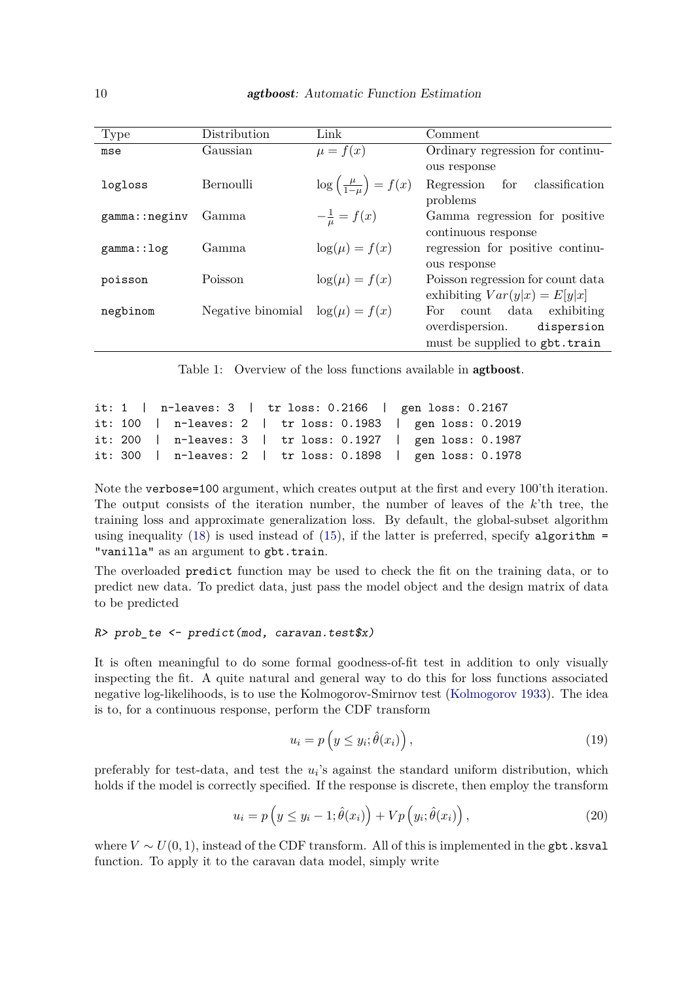| Type          | Distribution                        | Link                                        | Comment                                    |  |  |  |
|---------------|-------------------------------------|---------------------------------------------|--------------------------------------------|--|--|--|
| mse           | Gaussian                            | $\mu = f(x)$                                | Ordinary regression for continu-           |  |  |  |
|               |                                     |                                             | ous response                               |  |  |  |
| logloss       | Bernoulli                           | $\log\left(\frac{\mu}{1-\mu}\right) = f(x)$ | Regression for<br>classification           |  |  |  |
|               |                                     |                                             | problems                                   |  |  |  |
| gamma::neginv | Gamma                               | $-\frac{1}{u} = f(x)$                       | Gamma regression for positive              |  |  |  |
|               |                                     |                                             | continuous response                        |  |  |  |
| gamma:: log   | Gamma                               | $\log(\mu) = f(x)$                          | regression for positive continu-           |  |  |  |
|               |                                     |                                             | ous response                               |  |  |  |
| poisson       | Poisson                             | $\log(\mu) = f(x)$                          | Poisson regression for count data          |  |  |  |
|               |                                     |                                             | exhibiting $Var(y x) = E[y x]$             |  |  |  |
| negbinom      | Negative binomial $log(\mu) = f(x)$ |                                             | exhibiting<br>$\text{count}$ data<br>For - |  |  |  |
|               |                                     |                                             | overdispersion.<br>dispersion              |  |  |  |
|               |                                     |                                             | must be supplied to gbt.train              |  |  |  |

<span id="page-9-0"></span>Table 1: Overview of the loss functions available in agtboost.

```
it: 1 | n-leaves: 3 | tr loss: 0.2166 | gen loss: 0.2167
it: 100 | n-leaves: 2 | tr loss: 0.1983 | gen loss: 0.2019
it: 200 | n-leaves: 3 | tr loss: 0.1927 | gen loss: 0.1987
it: 300 | n-leaves: 2 | tr loss: 0.1898 | gen loss: 0.1978
```
Note the verbose=100 argument, which creates output at the first and every 100'th iteration. The output consists of the iteration number, the number of leaves of the *k*'th tree, the training loss and approximate generalization loss. By default, the global-subset algorithm using inequality  $(18)$  is used instead of  $(15)$ , if the latter is preferred, specify algorithm = "vanilla" as an argument to gbt.train.

The overloaded predict function may be used to check the fit on the training data, or to predict new data. To predict data, just pass the model object and the design matrix of data to be predicted

#### $R$ > prob\_te <- predict(mod, caravan.test\$x)

It is often meaningful to do some formal goodness-of-fit test in addition to only visually inspecting the fit. A quite natural and general way to do this for loss functions associated negative log-likelihoods, is to use the Kolmogorov-Smirnov test [\(Kolmogorov](#page-14-14) [1933\)](#page-14-14). The idea is to, for a continuous response, perform the CDF transform

<span id="page-9-2"></span><span id="page-9-1"></span>
$$
u_i = p\left(y \le y_i; \hat{\theta}(x_i)\right),\tag{19}
$$

preferably for test-data, and test the  $u_i$ 's against the standard uniform distribution, which holds if the model is correctly specified. If the response is discrete, then employ the transform

$$
u_i = p\left(y \le y_i - 1; \hat{\theta}(x_i)\right) + Vp\left(y_i; \hat{\theta}(x_i)\right),\tag{20}
$$

where  $V \sim U(0, 1)$ , instead of the CDF transform. All of this is implemented in the gbt.ksval function. To apply it to the caravan data model, simply write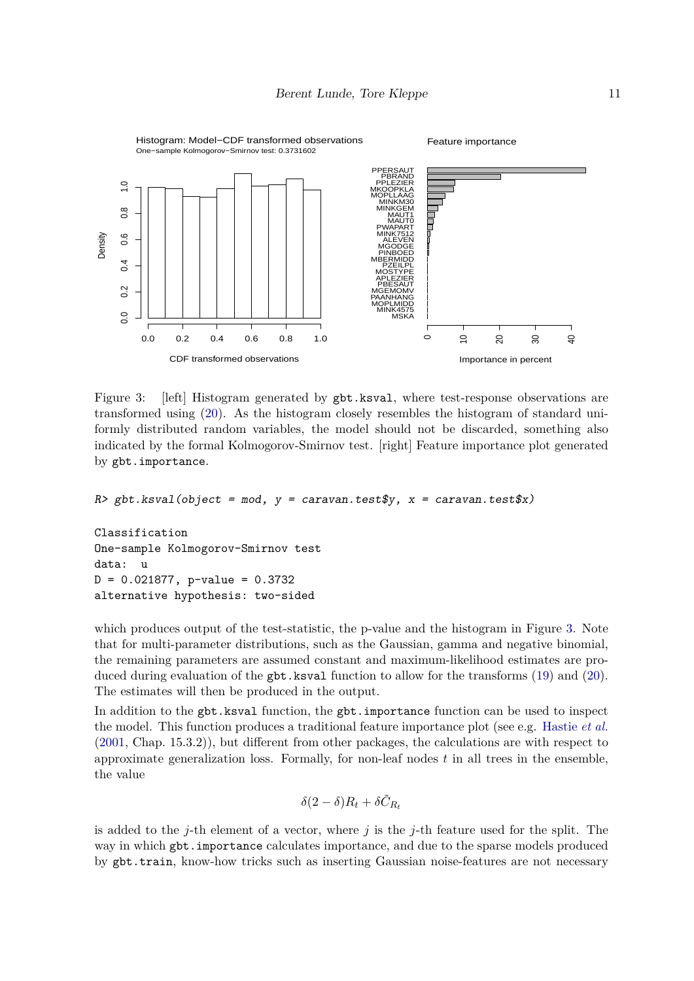

<span id="page-10-0"></span>Figure 3: [left] Histogram generated by gbt.ksval, where test-response observations are transformed using [\(20\)](#page-9-1). As the histogram closely resembles the histogram of standard uniformly distributed random variables, the model should not be discarded, something also indicated by the formal Kolmogorov-Smirnov test. [right] Feature importance plot generated by gbt.importance.

 $R$ > gbt.ksval(object = mod,  $y =$  caravan.test\$y,  $x =$  caravan.test\$x)

Classification One-sample Kolmogorov-Smirnov test data: u  $D = 0.021877$ , p-value = 0.3732 alternative hypothesis: two-sided

which produces output of the test-statistic, the p-value and the histogram in Figure [3.](#page-10-0) Note that for multi-parameter distributions, such as the Gaussian, gamma and negative binomial, the remaining parameters are assumed constant and maximum-likelihood estimates are pro-duced during evaluation of the gbt.ksval function to allow for the transforms [\(19\)](#page-9-2) and [\(20\)](#page-9-1). The estimates will then be produced in the output.

In addition to the gbt.ksval function, the gbt.importance function can be used to inspect the model. This function produces a traditional feature importance plot (see e.g. [Hastie](#page-14-7) *et al.* [\(2001,](#page-14-7) Chap. 15.3.2)), but different from other packages, the calculations are with respect to approximate generalization loss. Formally, for non-leaf nodes  $t$  in all trees in the ensemble, the value

$$
\delta(2-\delta)R_t + \delta\tilde{C}_{R_t}
$$

is added to the *j*-th element of a vector, where *j* is the *j*-th feature used for the split. The way in which gbt.importance calculates importance, and due to the sparse models produced by gbt.train, know-how tricks such as inserting Gaussian noise-features are not necessary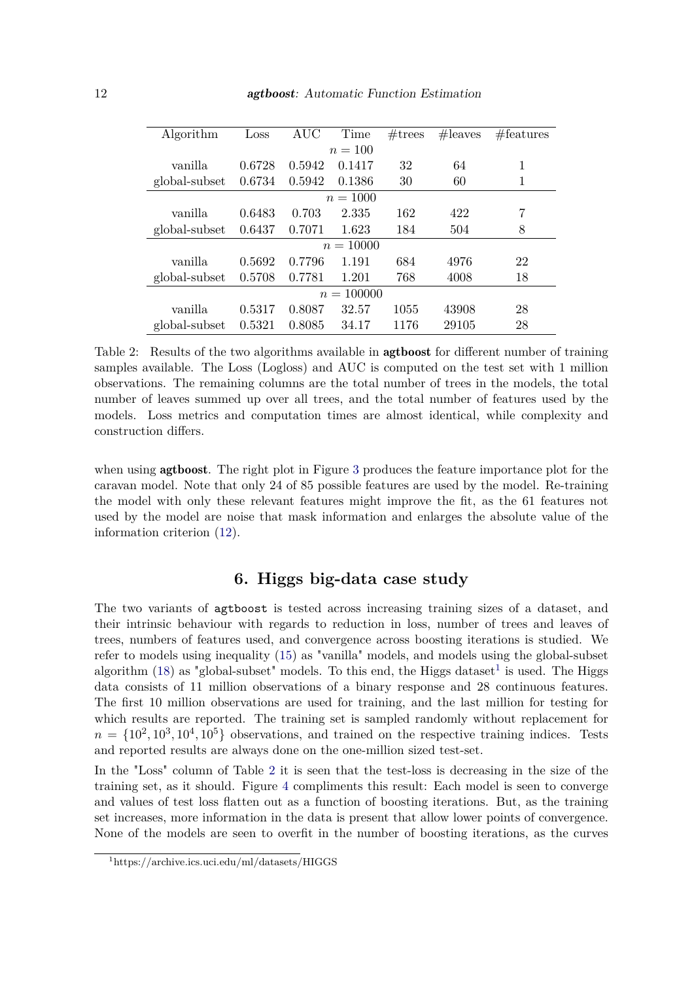| Algorithm     | Loss   | AUC    | Time   | $\#\text{trees}$ | #leaves | $#$ features |  |  |
|---------------|--------|--------|--------|------------------|---------|--------------|--|--|
| $n = 100$     |        |        |        |                  |         |              |  |  |
| vanilla       | 0.6728 | 0.5942 | 0.1417 | 32               | 64      | 1            |  |  |
| global-subset | 0.6734 | 0.5942 | 0.1386 | 30               | 60      | 1            |  |  |
| $n = 1000$    |        |        |        |                  |         |              |  |  |
| vanilla       | 0.6483 | 0.703  | 2.335  | 162              | 422     | 7            |  |  |
| global-subset | 0.6437 | 0.7071 | 1.623  | 184              | 504     | 8            |  |  |
| $n = 10000$   |        |        |        |                  |         |              |  |  |
| vanilla       | 0.5692 | 0.7796 | 1.191  | 684              | 4976    | 22           |  |  |
| global-subset | 0.5708 | 0.7781 | 1.201  | 768              | 4008    | 18           |  |  |
| $n = 100000$  |        |        |        |                  |         |              |  |  |
| vanilla       | 0.5317 | 0.8087 | 32.57  | 1055             | 43908   | 28           |  |  |
| global-subset | 0.5321 | 0.8085 | 34.17  | 1176             | 29105   | 28           |  |  |
|               |        |        |        |                  |         |              |  |  |

<span id="page-11-1"></span>Table 2: Results of the two algorithms available in agtboost for different number of training samples available. The Loss (Logloss) and AUC is computed on the test set with 1 million observations. The remaining columns are the total number of trees in the models, the total number of leaves summed up over all trees, and the total number of features used by the models. Loss metrics and computation times are almost identical, while complexity and construction differs.

when using **agtboost**. The right plot in Figure [3](#page-10-0) produces the feature importance plot for the caravan model. Note that only 24 of 85 possible features are used by the model. Re-training the model with only these relevant features might improve the fit, as the 61 features not used by the model are noise that mask information and enlarges the absolute value of the information criterion [\(12\)](#page-4-1).

## **6. Higgs big-data case study**

<span id="page-11-0"></span>The two variants of agtboost is tested across increasing training sizes of a dataset, and their intrinsic behaviour with regards to reduction in loss, number of trees and leaves of trees, numbers of features used, and convergence across boosting iterations is studied. We refer to models using inequality [\(15\)](#page-5-0) as "vanilla" models, and models using the global-subset algorithm  $(18)$  as "global-subset" models. To this end, the Higgs dataset<sup>[1](#page-0-0)</sup> is used. The Higgs data consists of 11 million observations of a binary response and 28 continuous features. The first 10 million observations are used for training, and the last million for testing for which results are reported. The training set is sampled randomly without replacement for  $n = \{10^2, 10^3, 10^4, 10^5\}$  observations, and trained on the respective training indices. Tests and reported results are always done on the one-million sized test-set.

In the "Loss" column of Table [2](#page-11-1) it is seen that the test-loss is decreasing in the size of the training set, as it should. Figure [4](#page-12-0) compliments this result: Each model is seen to converge and values of test loss flatten out as a function of boosting iterations. But, as the training set increases, more information in the data is present that allow lower points of convergence. None of the models are seen to overfit in the number of boosting iterations, as the curves

<sup>1</sup>https://archive.ics.uci.edu/ml/datasets/HIGGS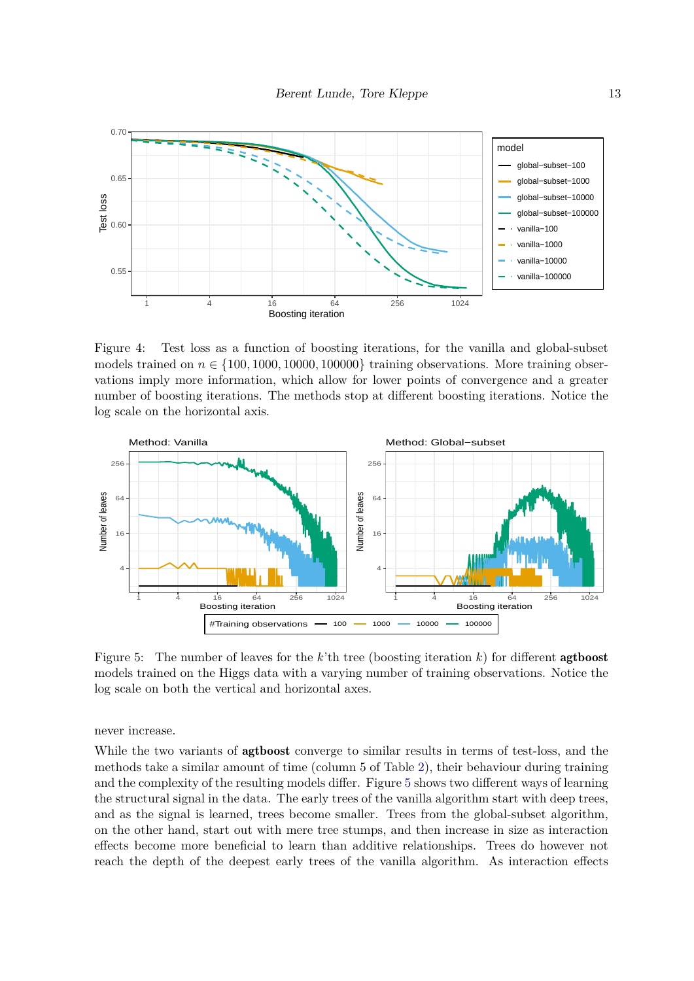

<span id="page-12-0"></span>Figure 4: Test loss as a function of boosting iterations, for the vanilla and global-subset models trained on  $n \in \{100, 1000, 10000, 100000\}$  training observations. More training observations imply more information, which allow for lower points of convergence and a greater number of boosting iterations. The methods stop at different boosting iterations. Notice the log scale on the horizontal axis.



<span id="page-12-1"></span>Figure 5: The number of leaves for the  $k$ 'th tree (boosting iteration  $k$ ) for different **agtboost** models trained on the Higgs data with a varying number of training observations. Notice the log scale on both the vertical and horizontal axes.

never increase.

While the two variants of **agtboost** converge to similar results in terms of test-loss, and the methods take a similar amount of time (column 5 of Table [2\)](#page-11-1), their behaviour during training and the complexity of the resulting models differ. Figure [5](#page-12-1) shows two different ways of learning the structural signal in the data. The early trees of the vanilla algorithm start with deep trees, and as the signal is learned, trees become smaller. Trees from the global-subset algorithm, on the other hand, start out with mere tree stumps, and then increase in size as interaction effects become more beneficial to learn than additive relationships. Trees do however not reach the depth of the deepest early trees of the vanilla algorithm. As interaction effects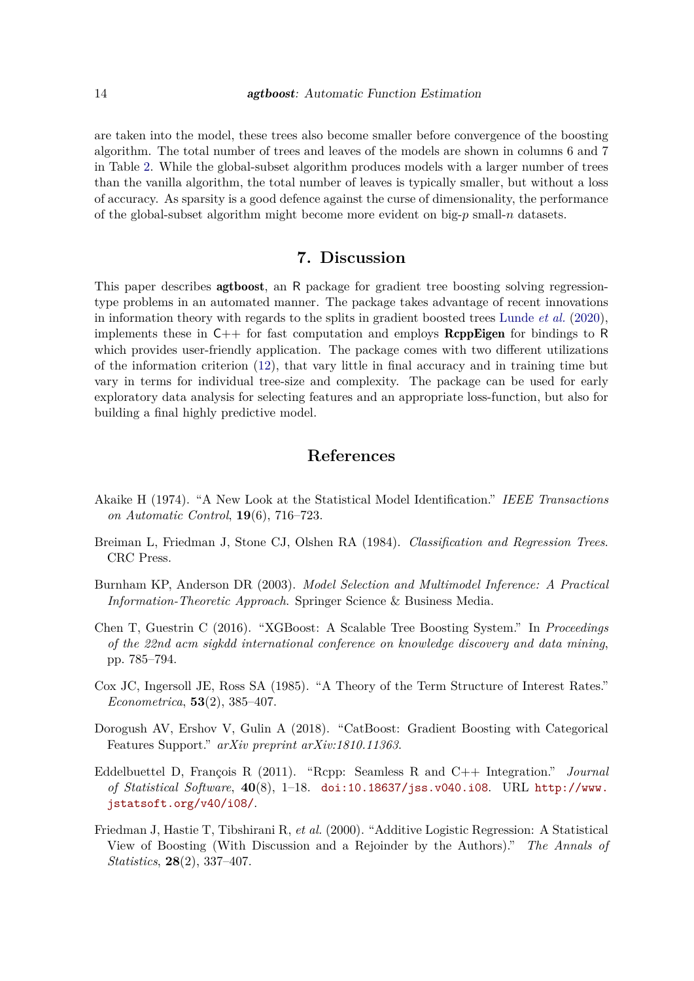are taken into the model, these trees also become smaller before convergence of the boosting algorithm. The total number of trees and leaves of the models are shown in columns 6 and 7 in Table [2.](#page-11-1) While the global-subset algorithm produces models with a larger number of trees than the vanilla algorithm, the total number of leaves is typically smaller, but without a loss of accuracy. As sparsity is a good defence against the curse of dimensionality, the performance of the global-subset algorithm might become more evident on big-*p* small-*n* datasets.

## **7. Discussion**

<span id="page-13-4"></span>This paper describes agtboost, an R package for gradient tree boosting solving regressiontype problems in an automated manner. The package takes advantage of recent innovations in information theory with regards to the splits in gradient boosted trees [Lunde](#page-14-0) *et al.* [\(2020\)](#page-14-0), implements these in  $C_{++}$  for fast computation and employs **ReppEigen** for bindings to R which provides user-friendly application. The package comes with two different utilizations of the information criterion [\(12\)](#page-4-1), that vary little in final accuracy and in training time but vary in terms for individual tree-size and complexity. The package can be used for early exploratory data analysis for selecting features and an appropriate loss-function, but also for building a final highly predictive model.

## **References**

- <span id="page-13-5"></span>Akaike H (1974). "A New Look at the Statistical Model Identification." *IEEE Transactions on Automatic Control*, **19**(6), 716–723.
- <span id="page-13-1"></span>Breiman L, Friedman J, Stone CJ, Olshen RA (1984). *Classification and Regression Trees*. CRC Press.
- <span id="page-13-6"></span>Burnham KP, Anderson DR (2003). *Model Selection and Multimodel Inference: A Practical Information-Theoretic Approach*. Springer Science & Business Media.
- <span id="page-13-0"></span>Chen T, Guestrin C (2016). "XGBoost: A Scalable Tree Boosting System." In *Proceedings of the 22nd acm sigkdd international conference on knowledge discovery and data mining*, pp. 785–794.
- <span id="page-13-7"></span>Cox JC, Ingersoll JE, Ross SA (1985). "A Theory of the Term Structure of Interest Rates." *Econometrica*, **53**(2), 385–407.
- <span id="page-13-2"></span>Dorogush AV, Ershov V, Gulin A (2018). "CatBoost: Gradient Boosting with Categorical Features Support." *arXiv preprint arXiv:1810.11363*.
- <span id="page-13-8"></span>Eddelbuettel D, François R (2011). "Rcpp: Seamless R and C++ Integration." *Journal of Statistical Software*, **40**(8), 1–18. [doi:10.18637/jss.v040.i08](http://dx.doi.org/10.18637/jss.v040.i08). URL [http://www.](http://www.jstatsoft.org/v40/i08/) [jstatsoft.org/v40/i08/](http://www.jstatsoft.org/v40/i08/).
- <span id="page-13-3"></span>Friedman J, Hastie T, Tibshirani R, *et al.* (2000). "Additive Logistic Regression: A Statistical View of Boosting (With Discussion and a Rejoinder by the Authors)." *The Annals of Statistics*, **28**(2), 337–407.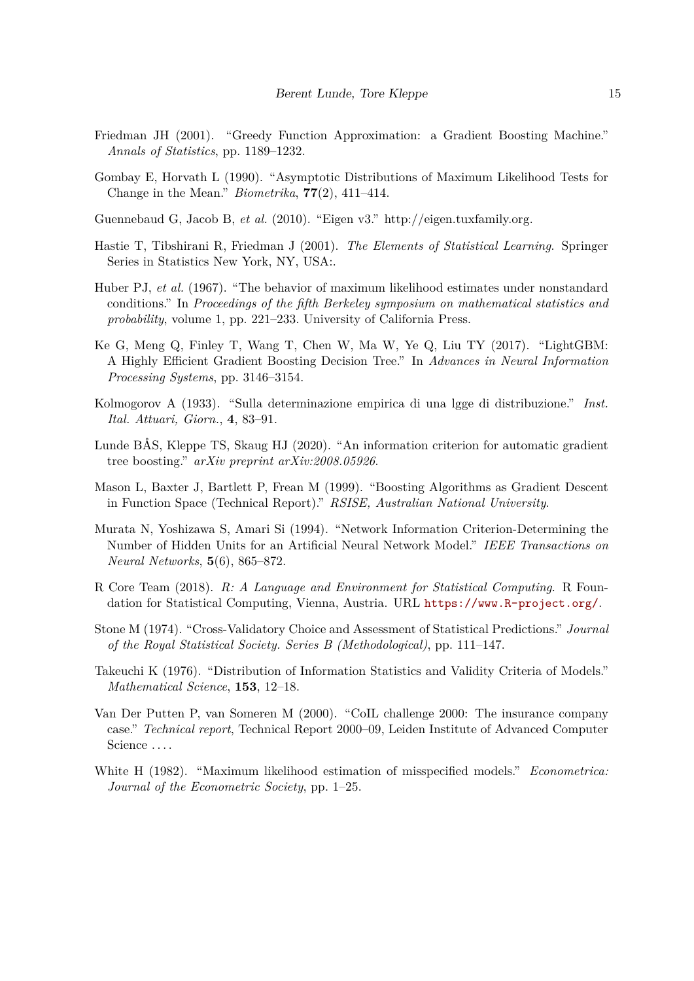- <span id="page-14-1"></span>Friedman JH (2001). "Greedy Function Approximation: a Gradient Boosting Machine." *Annals of Statistics*, pp. 1189–1232.
- <span id="page-14-6"></span>Gombay E, Horvath L (1990). "Asymptotic Distributions of Maximum Likelihood Tests for Change in the Mean." *Biometrika*, **77**(2), 411–414.
- <span id="page-14-11"></span>Guennebaud G, Jacob B, *et al.* (2010). "Eigen v3." http://eigen.tuxfamily.org.
- <span id="page-14-7"></span>Hastie T, Tibshirani R, Friedman J (2001). *The Elements of Statistical Learning*. Springer Series in Statistics New York, NY, USA:.
- <span id="page-14-10"></span>Huber PJ, *et al.* (1967). "The behavior of maximum likelihood estimates under nonstandard conditions." In *Proceedings of the fifth Berkeley symposium on mathematical statistics and probability*, volume 1, pp. 221–233. University of California Press.
- <span id="page-14-3"></span>Ke G, Meng Q, Finley T, Wang T, Chen W, Ma W, Ye Q, Liu TY (2017). "LightGBM: A Highly Efficient Gradient Boosting Decision Tree." In *Advances in Neural Information Processing Systems*, pp. 3146–3154.
- <span id="page-14-14"></span>Kolmogorov A (1933). "Sulla determinazione empirica di una lgge di distribuzione." *Inst. Ital. Attuari, Giorn.*, **4**, 83–91.
- <span id="page-14-0"></span>Lunde BÅS, Kleppe TS, Skaug HJ (2020). "An information criterion for automatic gradient tree boosting." *arXiv preprint arXiv:2008.05926*.
- <span id="page-14-2"></span>Mason L, Baxter J, Bartlett P, Frean M (1999). "Boosting Algorithms as Gradient Descent in Function Space (Technical Report)." *RSISE, Australian National University*.
- <span id="page-14-9"></span>Murata N, Yoshizawa S, Amari Si (1994). "Network Information Criterion-Determining the Number of Hidden Units for an Artificial Neural Network Model." *IEEE Transactions on Neural Networks*, **5**(6), 865–872.
- <span id="page-14-12"></span>R Core Team (2018). *R: A Language and Environment for Statistical Computing*. R Foundation for Statistical Computing, Vienna, Austria. URL <https://www.R-project.org/>.
- <span id="page-14-4"></span>Stone M (1974). "Cross-Validatory Choice and Assessment of Statistical Predictions." *Journal of the Royal Statistical Society. Series B (Methodological)*, pp. 111–147.
- <span id="page-14-8"></span>Takeuchi K (1976). "Distribution of Information Statistics and Validity Criteria of Models." *Mathematical Science*, **153**, 12–18.
- <span id="page-14-13"></span>Van Der Putten P, van Someren M (2000). "CoIL challenge 2000: The insurance company case." *Technical report*, Technical Report 2000–09, Leiden Institute of Advanced Computer Science ....
- <span id="page-14-5"></span>White H (1982). "Maximum likelihood estimation of misspecified models." *Econometrica: Journal of the Econometric Society*, pp. 1–25.